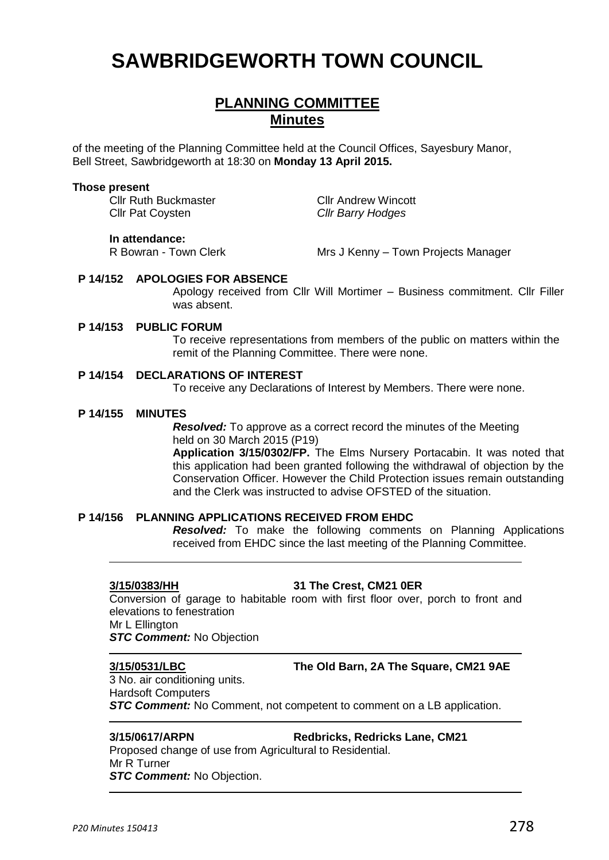# **SAWBRIDGEWORTH TOWN COUNCIL**

## **PLANNING COMMITTEE Minutes**

of the meeting of the Planning Committee held at the Council Offices, Sayesbury Manor, Bell Street, Sawbridgeworth at 18:30 on **Monday 13 April 2015.**

#### **Those present**

Cllr Ruth Buckmaster **Cllr Andrew Wincott** Cllr Pat Coysten *Cllr Barry Hodges*

Mrs J Kenny – Town Projects Manager

# **P 14/152 APOLOGIES FOR ABSENCE**

**In attendance:**<br>R Bowran - Town Clerk

Apology received from Cllr Will Mortimer – Business commitment. Cllr Filler was absent.

#### **P 14/153 PUBLIC FORUM**

To receive representations from members of the public on matters within the remit of the Planning Committee. There were none.

#### **P 14/154 DECLARATIONS OF INTEREST**

To receive any Declarations of Interest by Members. There were none.

#### **P 14/155 MINUTES**

*Resolved:* To approve as a correct record the minutes of the Meeting held on 30 March 2015 (P19) **Application 3/15/0302/FP.** The Elms Nursery Portacabin. It was noted that this application had been granted following the withdrawal of objection by the Conservation Officer. However the Child Protection issues remain outstanding and the Clerk was instructed to advise OFSTED of the situation.

#### **P 14/156 PLANNING APPLICATIONS RECEIVED FROM EHDC**

*Resolved:* To make the following comments on Planning Applications received from EHDC since the last meeting of the Planning Committee.

### **3/15/0383/HH 31 The Crest, CM21 0ER**

Conversion of garage to habitable room with first floor over, porch to front and elevations to fenestration Mr L Ellington

*STC Comment:* No Objection

### **3/15/0531/LBC The Old Barn, 2A The Square, CM21 9AE**

3 No. air conditioning units. Hardsoft Computers *STC Comment:* No Comment, not competent to comment on a LB application.

**3/15/0617/ARPN Redbricks, Redricks Lane, CM21** 

Proposed change of use from Agricultural to Residential. Mr R Turner *STC Comment:* No Objection.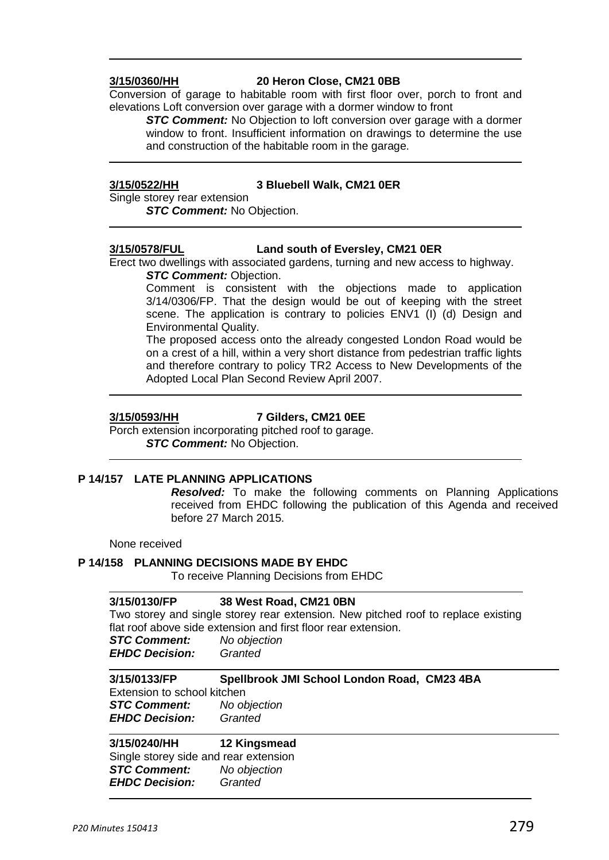#### **3/15/0360/HH 20 Heron Close, CM21 0BB**

Conversion of garage to habitable room with first floor over, porch to front and elevations Loft conversion over garage with a dormer window to front

**STC Comment:** No Objection to loft conversion over garage with a dormer window to front. Insufficient information on drawings to determine the use and construction of the habitable room in the garage.

#### **3/15/0522/HH 3 Bluebell Walk, CM21 0ER**

Single storey rear extension *STC Comment:* No Objection.

### **3/15/0578/FUL Land south of Eversley, CM21 0ER**

Erect two dwellings with associated gardens, turning and new access to highway. *STC Comment: Objection.* 

Comment is consistent with the objections made to application 3/14/0306/FP. That the design would be out of keeping with the street scene. The application is contrary to policies ENV1 (I) (d) Design and Environmental Quality.

The proposed access onto the already congested London Road would be on a crest of a hill, within a very short distance from pedestrian traffic lights and therefore contrary to policy TR2 Access to New Developments of the Adopted Local Plan Second Review April 2007.

### **3/15/0593/HH 7 Gilders, CM21 0EE**

Porch extension incorporating pitched roof to garage. *STC Comment:* No Objection.

### **P 14/157 LATE PLANNING APPLICATIONS**

*Resolved:* To make the following comments on Planning Applications received from EHDC following the publication of this Agenda and received before 27 March 2015.

None received

### **P 14/158 PLANNING DECISIONS MADE BY EHDC**

To receive Planning Decisions from EHDC

## **3/15/0130/FP 38 West Road, CM21 0BN** Two storey and single storey rear extension. New pitched roof to replace existing flat roof above side extension and first floor rear extension. *STC Comment: No objection EHDC Decision: Granted* **3/15/0133/FP Spellbrook JMI School London Road, CM23 4BA** Extension to school kitchen *STC Comment: No objection EHDC Decision: Granted* **3/15/0240/HH 12 Kingsmead** Single storey side and rear extension *STC Comment: No objection*

*EHDC Decision: Granted*